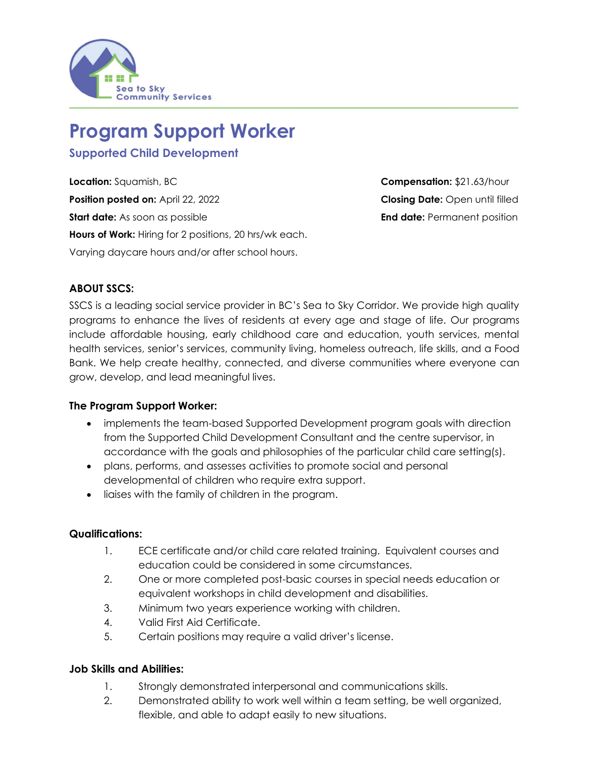

# **Program Support Worker**

**Supported Child Development** 

**Location:** Squamish, BC **Compensation:** \$21.63/hour **Position posted on:** April 22, 2022 **Closing Date:** Open until filled **Start date:** As soon as possible **End date:** Permanent position **Hours of Work:** Hiring for 2 positions, 20 hrs/wk each. Varying daycare hours and/or after school hours.

## **ABOUT SSCS:**

SSCS is a leading social service provider in BC's Sea to Sky Corridor. We provide high quality programs to enhance the lives of residents at every age and stage of life. Our programs include affordable housing, early childhood care and education, youth services, mental health services, senior's services, community living, homeless outreach, life skills, and a Food Bank. We help create healthy, connected, and diverse communities where everyone can grow, develop, and lead meaningful lives.

#### **The Program Support Worker:**

- implements the team-based Supported Development program goals with direction from the Supported Child Development Consultant and the centre supervisor, in accordance with the goals and philosophies of the particular child care setting(s).
- plans, performs, and assesses activities to promote social and personal developmental of children who require extra support.
- liaises with the family of children in the program.

#### **Qualifications:**

- 1. ECE certificate and/or child care related training. Equivalent courses and education could be considered in some circumstances.
- 2. One or more completed post-basic courses in special needs education or equivalent workshops in child development and disabilities.
- 3. Minimum two years experience working with children.
- 4. Valid First Aid Certificate.
- 5. Certain positions may require a valid driver's license.

#### **Job Skills and Abilities:**

- 1. Strongly demonstrated interpersonal and communications skills.
- 2. Demonstrated ability to work well within a team setting, be well organized, flexible, and able to adapt easily to new situations.